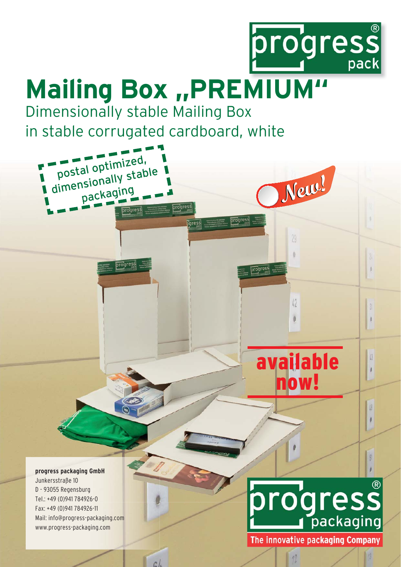

**New!**

29

 $\theta$ 

42

 $\big)$ 

 $\sqrt{13}$  $\theta$ 

 $\beta$  $\mathbf{I}$ 

 $\beta$ 

## **Mailing Box ,, PREMIUM"**

progress

pgress.

progress

progress

Dimensionally stable Mailing Box in stable corrugated cardboard, white

postal optimized,

postal open.<br>dimensionally stable

packaging packagin

progress

**progress** 

**progress packaging GmbH** Junkersstraße 10 D - 93055 Regensburg Regensburg Tel.: +49 (0)941 784926-0 Fax: +49 (0)941 784926-11 Mail: info@progress-packaging.com www.progress-packaging.com

 $c l$ 

## progress packaging

available

now!

The innovative packaging Company